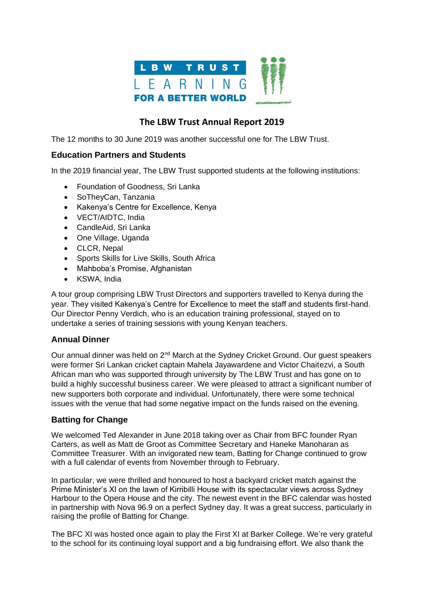

# **The LBW Trust Annual Report 2019**

The 12 months to 30 June 2019 was another successful one for The LBW Trust.

## **Education Partners and Students**

In the 2019 financial year, The LBW Trust supported students at the following institutions:

- Foundation of Goodness, Sri Lanka
- SoTheyCan, Tanzania
- Kakenya's Centre for Excellence, Kenya
- VECT/AIDTC, India
- CandleAid, Sri Lanka
- One Village, Uganda
- CLCR, Nepal
- Sports Skills for Live Skills, South Africa
- Mahboba's Promise, Afghanistan
- KSWA, India

A tour group comprising LBW Trust Directors and supporters travelled to Kenya during the year. They visited Kakenya's Centre for Excellence to meet the staff and students first-hand. Our Director Penny Verdich, who is an education training professional, stayed on to undertake a series of training sessions with young Kenyan teachers.

## **Annual Dinner**

Our annual dinner was held on 2<sup>nd</sup> March at the Sydney Cricket Ground. Our guest speakers were former Sri Lankan cricket captain Mahela Jayawardene and Victor Chaitezvi, a South African man who was supported through university by The LBW Trust and has gone on to build a highly successful business career. We were pleased to attract a significant number of new supporters both corporate and individual. Unfortunately, there were some technical issues with the venue that had some negative impact on the funds raised on the evening.

## **Batting for Change**

We welcomed Ted Alexander in June 2018 taking over as Chair from BFC founder Ryan Carters, as well as Matt de Groot as Committee Secretary and Haneke Manoharan as Committee Treasurer. With an invigorated new team, Batting for Change continued to grow with a full calendar of events from November through to February.

In particular, we were thrilled and honoured to host a backyard cricket match against the Prime Minister's XI on the lawn of Kirribilli House with its spectacular views across Sydney Harbour to the Opera House and the city. The newest event in the BFC calendar was hosted in partnership with Nova 96.9 on a perfect Sydney day. It was a great success, particularly in raising the profile of Batting for Change.

The BFC XI was hosted once again to play the First XI at Barker College. We're very grateful to the school for its continuing loyal support and a big fundraising effort. We also thank the